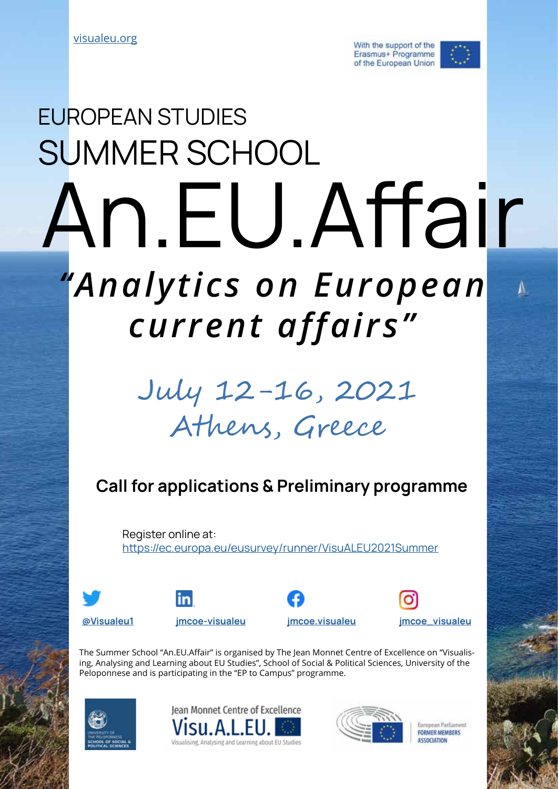With the support of the Erasmus+ Programme of the European Union



# An.EU.Affair *"Analytics on European current affairs"* SUMMER SCHOOL EUROPEAN STUDIES

## July 12-16, 2021 Athens, Greece

## Call for applications & Preliminary programme

Register online at: <https://ec.europa.eu/eusurvey/runner/VisuALEU2021Summer>









The Summer School "An.EU.Affair" is organised by The Jean Monnet Centre of Excellence on "Visualising, Analysing and Learning about EU Studies", School of Social & Political Sciences, University of the Peloponnese and is participating in the "EP to Campus" programme.







Furonean Parliament **FORMER MEMBERS ASSOCIATION**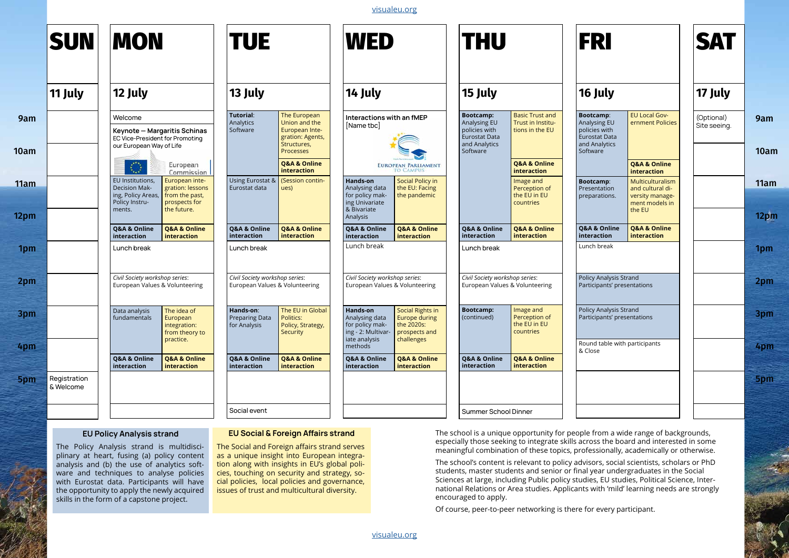|                          | <b>SUN</b>                                                                                                                                                                                                                                                                                                          | <b>MON</b>                                                                                               |                                                                                                                | <b>TUE</b>                                                                                                                                                                                                                                                                                   |                                                                                                 | <b>WED</b>                                                                                             |                                                                                                             | <b>THU</b>                                                                                                                                                                                                                                                                                                                                                                                                                                                                                                                                                                                                                         |                                                                                        | <b>FRI</b>                                                                                      |                                                                                                                    | <b>SA</b>           |
|--------------------------|---------------------------------------------------------------------------------------------------------------------------------------------------------------------------------------------------------------------------------------------------------------------------------------------------------------------|----------------------------------------------------------------------------------------------------------|----------------------------------------------------------------------------------------------------------------|----------------------------------------------------------------------------------------------------------------------------------------------------------------------------------------------------------------------------------------------------------------------------------------------|-------------------------------------------------------------------------------------------------|--------------------------------------------------------------------------------------------------------|-------------------------------------------------------------------------------------------------------------|------------------------------------------------------------------------------------------------------------------------------------------------------------------------------------------------------------------------------------------------------------------------------------------------------------------------------------------------------------------------------------------------------------------------------------------------------------------------------------------------------------------------------------------------------------------------------------------------------------------------------------|----------------------------------------------------------------------------------------|-------------------------------------------------------------------------------------------------|--------------------------------------------------------------------------------------------------------------------|---------------------|
|                          | 12 July<br>11 July                                                                                                                                                                                                                                                                                                  |                                                                                                          |                                                                                                                | 13 July                                                                                                                                                                                                                                                                                      |                                                                                                 | 14 July                                                                                                |                                                                                                             | 15 July                                                                                                                                                                                                                                                                                                                                                                                                                                                                                                                                                                                                                            |                                                                                        | 16 July                                                                                         |                                                                                                                    | <b>17 Ju</b>        |
| 9am<br>10am              |                                                                                                                                                                                                                                                                                                                     | Welcome<br>EC Vice-President for Promoting<br>our European Way of Life                                   | Keynote - Margaritis Schinas                                                                                   | <b>Tutorial:</b><br>Analytics<br>Software                                                                                                                                                                                                                                                    | The European<br>Union and the<br>European Inte-<br>gration: Agents,<br>Structures,<br>Processes | Interactions with an fMEP<br>[Name tbc]                                                                |                                                                                                             | <b>Bootcamp:</b><br>Analysing EU<br>policies with<br><b>Eurostat Data</b><br>and Analytics<br>Software                                                                                                                                                                                                                                                                                                                                                                                                                                                                                                                             | <b>Basic Trust and</b><br>Trust in Institu-<br>tions in the EU                         | <b>Bootcamp:</b><br>Analysing EU<br>policies with<br>Eurostat Data<br>and Analytics<br>Software | <b>EU Local Gov-</b><br>ernment Policies                                                                           | (Option<br>Site see |
| 11am<br>12 <sub>pm</sub> |                                                                                                                                                                                                                                                                                                                     | $\bigcirc$<br>EU Institutions,<br><b>Decision Mak-</b><br>ing, Policy Areas,<br>Policy Instru-<br>ments. | European<br>Commission<br>European inte-<br>gration: lessons<br>from the past,<br>prospects for<br>the future. | Using Eurostat &<br>Eurostat data                                                                                                                                                                                                                                                            | Q&A & Online<br>interaction<br>(Session contin-<br>ues)                                         | <b>Hands-on</b><br>Analysing data<br>for policy mak-<br>ing Univariate<br>& Bivariate<br>Analysis      | <b>EUROPEAN PARLIAMENT</b><br><b>TO CAMPUS</b><br><b>Social Policy in</b><br>the EU: Facing<br>the pandemic |                                                                                                                                                                                                                                                                                                                                                                                                                                                                                                                                                                                                                                    | Q&A & Online<br>interaction<br>Image and<br>Perception of<br>the EU in EU<br>countries | <b>Bootcamp:</b><br>Presentation<br>preparations.                                               | Q&A & Online<br>interaction<br>Multiculturalism<br>and cultural di-<br>versity manage-<br>ment models in<br>the EU |                     |
|                          |                                                                                                                                                                                                                                                                                                                     | Q&A & Online<br>interaction                                                                              | Q&A & Online<br>interaction                                                                                    | Q&A & Online<br>interaction                                                                                                                                                                                                                                                                  | Q&A & Online<br>interaction                                                                     | Q&A & Online<br>interaction                                                                            | Q&A & Online<br>interaction                                                                                 | Q&A & Online<br>interaction                                                                                                                                                                                                                                                                                                                                                                                                                                                                                                                                                                                                        | Q&A & Online<br>interaction                                                            | Q&A & Online<br>interaction                                                                     | Q&A & Online<br>interaction                                                                                        |                     |
| 1pm                      |                                                                                                                                                                                                                                                                                                                     | Lunch break                                                                                              |                                                                                                                | Lunch break                                                                                                                                                                                                                                                                                  |                                                                                                 | Lunch break                                                                                            |                                                                                                             | Lunch break                                                                                                                                                                                                                                                                                                                                                                                                                                                                                                                                                                                                                        |                                                                                        | Lunch break                                                                                     |                                                                                                                    |                     |
| 2pm                      |                                                                                                                                                                                                                                                                                                                     | Civil Society workshop series:<br>European Values & Volunteering                                         |                                                                                                                | Civil Society workshop series:<br>European Values & Volunteering                                                                                                                                                                                                                             |                                                                                                 | Civil Society workshop series:<br>European Values & Volunteering                                       |                                                                                                             | Civil Society workshop series:<br>European Values & Volunteering                                                                                                                                                                                                                                                                                                                                                                                                                                                                                                                                                                   |                                                                                        | Policy Analysis Strand<br>Participants' presentations                                           |                                                                                                                    |                     |
| 3pm<br>4pm               |                                                                                                                                                                                                                                                                                                                     | Data analysis<br>fundamentals                                                                            | The idea of<br>European<br>integration:<br>from theory to<br>practice.                                         | Hands-on:<br><b>Preparing Data</b><br>for Analysis                                                                                                                                                                                                                                           | The EU in Global<br>Politics:<br>Policy, Strategy,<br><b>Security</b>                           | <b>Hands-on</b><br>Analysing data<br>for policy mak-<br>ing - 2: Multivar-<br>iate analysis<br>methods | Social Rights in<br><b>Europe during</b><br>the 2020s:<br>prospects and<br>challenges                       | <b>Bootcamp:</b><br>(continued)                                                                                                                                                                                                                                                                                                                                                                                                                                                                                                                                                                                                    | Image and<br>Perception of<br>the EU in EU<br>countries                                | Policy Analysis Strand<br>Participants' presentations<br>Round table with participants          |                                                                                                                    |                     |
|                          |                                                                                                                                                                                                                                                                                                                     | Q&A & Online<br>interaction                                                                              | Q&A & Online<br>interaction                                                                                    | Q&A & Online<br>interaction                                                                                                                                                                                                                                                                  | Q&A & Online<br>interaction                                                                     | Q&A & Online<br>interaction                                                                            | Q&A & Online<br>interaction                                                                                 | Q&A & Online<br>interaction                                                                                                                                                                                                                                                                                                                                                                                                                                                                                                                                                                                                        | Q&A & Online<br>interaction                                                            | & Close                                                                                         |                                                                                                                    |                     |
| 5pm                      | Registration<br>& Welcome                                                                                                                                                                                                                                                                                           |                                                                                                          |                                                                                                                |                                                                                                                                                                                                                                                                                              |                                                                                                 |                                                                                                        |                                                                                                             |                                                                                                                                                                                                                                                                                                                                                                                                                                                                                                                                                                                                                                    |                                                                                        |                                                                                                 |                                                                                                                    |                     |
|                          |                                                                                                                                                                                                                                                                                                                     |                                                                                                          | Social event                                                                                                   |                                                                                                                                                                                                                                                                                              |                                                                                                 |                                                                                                        | <b>Summer School Dinner</b>                                                                                 |                                                                                                                                                                                                                                                                                                                                                                                                                                                                                                                                                                                                                                    |                                                                                        |                                                                                                 |                                                                                                                    |                     |
|                          | <b>EU Policy Analysis strand</b><br>The Policy Analysis strand is multidisci-<br>plinary at heart, fusing (a) policy content<br>analysis and (b) the use of analytics soft-<br>ware and techniques to analyse policies<br>with Eurostat data. Participants will have<br>the opportunity to apply the newly acquired |                                                                                                          |                                                                                                                | The Social and Foreign affairs strand serves<br>as a unique insight into European integra-<br>tion along with insights in EU's global poli-<br>cies, touching on security and strategy, so-<br>cial policies, local policies and governance,<br>issues of trust and multicultural diversity. | <b>EU Social &amp; Foreign Affairs strand</b>                                                   |                                                                                                        |                                                                                                             | The school is a unique opportunity for people from a wide range of backgrounds,<br>especially those seeking to integrate skills across the board and interested in some<br>meaningful combination of these topics, professionally, academically or otherwise.<br>The school's content is relevant to policy advisors, social scientists, scholars or PhD<br>students, master students and senior or final year undergraduates in the Social<br>Sciences at large, including Public policy studies, EU studies, Political Science, Inter-<br>national Relations or Area studies. Applicants with 'mild' learning needs are strongly |                                                                                        |                                                                                                 |                                                                                                                    |                     |



skills in the form of a capstone project.

encouraged to apply.

Of course, peer-to-peer networking is there for every participant.

[visualeu.org](https://visualeu.org)